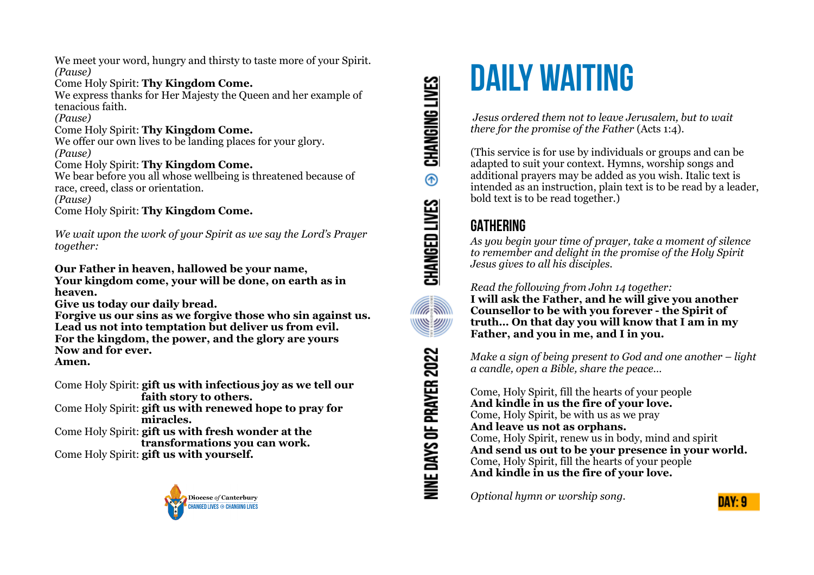We meet your word, hungry and thirsty to taste more of your Spirit. *(Pause)*

#### Come Holy Spirit: **Thy Kingdom Come.**

We express thanks for Her Majesty the Queen and her example of tenacious faith.

*(Pause)*

### Come Holy Spirit: **Thy Kingdom Come.**

We offer our own lives to be landing places for your glory. *(Pause)*

#### Come Holy Spirit: **Thy Kingdom Come.**

We bear before you all whose wellbeing is threatened because of race, creed, class or orientation. *(Pause)*

Come Holy Spirit: **Thy Kingdom Come.**

*We wait upon the work of your Spirit as we say the Lord's Prayer together:*

**Our Father in heaven, hallowed be your name, Your kingdom come, your will be done, on earth as in heaven.** 

**Give us today our daily bread.** 

**Forgive us our sins as we forgive those who sin against us. Lead us not into temptation but deliver us from evil. For the kingdom, the power, and the glory are yours Now and for ever. Amen.**

Come Holy Spirit: **gift us with infectious joy as we tell our faith story to others.**

Come Holy Spirit: **gift us with renewed hope to pray for miracles.**

Come Holy Spirit: **gift us with fresh wonder at the transformations you can work.**

Come Holy Spirit: **gift us with yourself.**



**CHANGING LIVES**  $\circledR$ CHANGED LIVES **Alla SI** <u>WWW</u> NINE DAYS OF PRAYER 2022

# **DAILY WAITING**

 *Jesus ordered them not to leave Jerusalem, but to wait there for the promise of the Father* (Acts 1:4).

(This service is for use by individuals or groups and can be adapted to suit your context. Hymns, worship songs and additional prayers may be added as you wish. Italic text is intended as an instruction, plain text is to be read by a leader, bold text is to be read together.)

# **GATHERING**

*As you begin your time of prayer, take a moment of silence to remember and delight in the promise of the Holy Spirit Jesus gives to all his disciples.*

## *Read the following from John 14 together:*

**I will ask the Father, and he will give you another Counsellor to be with you forever - the Spirit of truth… On that day you will know that I am in my Father, and you in me, and I in you.** 

*Make a sign of being present to God and one another – light a candle, open a Bible, share the peace…* 

Come, Holy Spirit, fill the hearts of your people **And kindle in us the fire of your love.**  Come, Holy Spirit, be with us as we pray **And leave us not as orphans.**  Come, Holy Spirit, renew us in body, mind and spirit **And send us out to be your presence in your world.**  Come, Holy Spirit, fill the hearts of your people **And kindle in us the fire of your love.** 

*Optional hymn or worship song.*